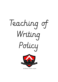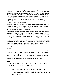### Intent:

At South Avenue Primary School, English and the teaching of English is the foundation of our curriculum. It is our intent to provide our children with a high-quality education in English that will teach them to speak, read and write fluently so that they can communicate their ideas and emotions to others effectively. Our goal is to inspire an appreciation of our rich and varied literary heritage and a habit of reading widely and often. We recognise the importance of nurturing a culture where children take pride in their writing, can write clearly and accurately and adapt their language and style for a range of contexts. We want children to be confident in the art of speaking and listening and use discussion to communicate and further their learning.

We recognise that each child has their own starting point upon entry to every year group and progress is measured in line with these starting points to ensure every child, inclusive of vulnerability, can celebrate success. Teachers plan and teach purposeful English lessons which focus on the particular needs of each child.

We intend for pupils to be able to plan, revise and evaluate their writing. To be able to do this effectively, pupils will focus on developing effective transcription and effective composition. They will also develop an awareness of the audience, purpose and context, and build an increasingly wide knowledge of vocabulary and grammar. We also intend for pupils to leave school being able to use fluent, legible and speedy handwriting.

English at South Avenue will not only be a daily discrete lesson, but is at the heart of the entire curriculum. It is embedded within all our lessons and we will strive for a high level of English for all through using high-quality texts, immersing children in vocabulary rich learning environments and ensuring that curriculum expectations and the progression of skills are met.

# Impact:

All children will enjoy writing across a range of genres, make links and apply their skills in cross-curricular topics. Children of all abilities will be able to succeed in all English lessons because work will be appropriately scaffolded. They will have developed a wide vocabulary that they are able to use within their writing and will have a good knowledge of how to adapt their writing based on the context and audience. Children will leave school being able to effectively apply the spelling rules and patterns they have been taught.

### Aims:

These are in line with the National Curriculum Programmes of Study for KS1 and KS2.

To develop children's' writing skills so that they can:-

- Express themselves clearly and precisely for enjoyment
- Demonstrate their understanding of how writing enables them to remember, communicate, organise and develop their ideas and information
- Write for an increasing range of purposes matching their language to the needs of the appropriate audiences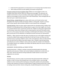- Understand the appropriate use and purpose of an increasing range of written forms
- Write neatly and with accurate spelling, punctuation and grammar.

Emergent writing From the Foundation Stage Children are encouraged to write in an emergent style where all their efforts are valued and encouraged. The classroom and outdoor environment is set up to provide a wide range of opportunities for writing and pupils are encouraged to write as part of their child-initiated play. These emerging skills are then built upon in adult directed sessions.

Shared Writing - Guided Writing have a place within every unit of work and are used throughout the school to model and develop children's writing skills. Teachers use these tools to teach specific skills and allow children to work towards their writing goals.

Extended Writing. Pupils are given regular opportunities for extended writing. Children then take part in an extended period of writing, based on a genre from their English unit of work or to practise features from a previously covered unit. Children are then given opportunities to self and peer assess their writing as well as improving their work with the teacher when they are in a focus group. Each piece of writing is marked against the features of the specific genre and focuses on the celebration of individual successes and areas for improvement.

WAGOLLs - What a good one looks like pieces of writing are put on the English working wall to show the children what a good one looks like! At the start of each unit these are from external sources or previous children's work. As the unit progresses, these are taken directly from the work that the children have been doing in class. Visualiser stops during writing, mini-plenaries are used so children's work can be put under the visualiser and celebrated. The excellent features are modelled, and children will identify where the success criteria has been used correctly.

### ASSESSMENT, RECORD KEEPING and TARGET SETTING

Writing Assessment – Children's writing is assessed formatively against the learning objectives and outcomes. Children also receive feedback verbally and in written form on their work. Internal and external writing moderation enable teachers to ensure their judgements are accurate.

### Writing:

At South Avenue, we aim to create an environment that will promote both reading and writing. In order to ensure that all pupils learn to be confident writers, we encourage children to write creatively whilst teaching key writing skills explicitly and systematically. Teachers plan sequences of lessons to build towards a longer writing outcome that is linked to reading, drama and other shorter writing tasks, broadly following the structure below: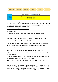

Wherever possible, writing is linked to the termly class topic and, therefore, the wider curriculum. There is a balance between fiction, non-fiction and poetry with an emphasis on whole texts rather than extracts and worksheets. Medium and long term plans are found on the staff shared drive under the 'English' area.

#### What does writing look like at South Avenue?

Across the school:

- A purpose and audience for each piece of writing is decided from the outset.
- Writing is displayed and celebrated all over the school.
- We provide stimulating first hand experiences, e.g. trips, storytellers and drama.
- Writing is taught as a carefully sequenced activity.
- Teachers provide regular helpful feedback through marking against Steps to Success
- Time is planned into lessons for children to respond to marking and feedback.
- Writing is, in the main, linked to class topics to promote engagement.
- We ensure progression in complexity of tasks and expectations year on year.

• We build stamina for writing by providing opportunities to write independently and for extended periods.

• Editing and reviewing form a large part of lesson time – with age-appropriate strategies for purple-pen response marking used across the school.

• Peer marking is encouraged as an additional way for children to respond to writing.

#### Planning:

Each year group covers a range of text types and this should show progression across the school, we support this through criteria documents. Weekly plans show a reading link (as well as a link to the topic), a writing skill focus, a SPaG focus and bring this together into an independent writing task. In planning, resources are clearly identified.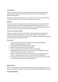# Time Allocation:

Writing is a key aspect of the curriculum and opportunities to practice writing skills are made throughout all subject and areas taught across the curriculum. Therefore time allocation will be flexible.

However as a basic minimum guide Years 1-2 are given 3.5 hours of focused learning and teaching in writing per week and Years 3-6 are given 5 hours per week.

# Resources:

Teachers refer back to high quality texts in their planning which are shared with children. This includes whole texts, excerpts and model writing. Within planning teachers use a variety of resources for stimulus: textbooks, pictures, videos, planning sheets, novels, nonfiction texts, text in a variety of genres, tapes, CDs and big books.

# Frequency and Range of Writing:

Children are exposed to a balance of non-fiction and fiction (personal, imaginative and functional) writing throughout the year and each term. Teachers use the 'Planning Guidance' document (appendix 1) to support them in selecting an appropriate writing genre and linking writing features and SPaG skills.

# Plans include:

- At the start of each week there is a BRIEF overview of the guided reading, phonics/handwriting/spelling and outcome.
- Learning Objective linked to NC and success criteria
- Dedicated response marking time (when needed)
- Overview of input and activity/activities children will complete
- Deployment/reference to TA (this is a focus for them not a limitation to prevent them working with other children as needs arise)
- Plenary these could be mini plenaries within lessons but are designed to assess children's understanding and next steps in line with the learning objective.
- In each week, there is evidence of immersion into a text genre and a relevant SPaG focus linked to a text genre in the 'Planning Guidance'.

# Shared planning:

Within in year group teams, planning may be collaborative with the expectation that each teacher will take into consideration their own class' needs and adapt plans where necessary.

# Marking and Feedback: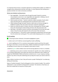It is important that we have a consistent approach to marking which enables our children to recognise their achievements and their next steps. It is also important that marking has a purpose and does not create unnecessary workload.

### Whole class feedback marking process:

- 1. Non-negotiables The teacher looks through the pupils' books for common misconceptions and errors in non-negotiables (see appendix 1). Making a note of individual students or collective issues on marking grid.
- 2. Work to praise and share Teachers underline in green examples of work which meet LO/criteria grid. On marking grid note any particular work to share.
- 3. Whilst looking through the books, teachers make notes on the key messages to feedback to pupils at the start of the next lesson using the marking grid.
- 4. Books are sorted into piles of children who have not grasped the concept taught, those who showed good understanding and those who did particularly well.
- 5. Next Steps the teacher records a common misconception for the class and make notes on how the class will respond to this at the start of the next lesson.
- 6. In the next lesson, 5- 10 minutes is spent reviewing the achievements and next steps from the whole class marking grid. This could include displaying work on a visualiser.

### Key for marking:

LO - if learning has been achieved, LO should be highlighted in green

S - written next to LO if child has received significant adult scaffolding.

sp - next to spelling error if it is a common misconception word/a word from this week's learning no more than 3. Correct three times. Children should be encouraged to look back on spellings to ensure these are not repeated in later pieces of work.

-underline in green where children have met the learning objective or items in a checklist.

- pink underlining can be used at a teacher's discretion for specific errors when needed e.g. in Yr2 omitted capital letters may require the word to be underlined in pink. Children are taught that PINK MEANS THINK and therefore rectify the error. In your response marking, teachers may refer to the pink underlining and say today this means you need to look for x error.

When children transition to Year 5 they will receive a purple 'Polishing Pen' to evidencing editing and improving.

Keep an 'Excellent Example' of each writing genre to form a book of models. This could be celebrated in a class wonderful writing book for example. The intention is that these can then form model texts as resources in future years.

### Assessment: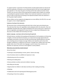To support teachers' assessment of writing teachers provide opportunities for internal and external moderation. All teachers use an assessment grid at the start of each English book (see appendix 1). This shows the genre of writing and the date evidence has been shown. Teachers can use this to inform future planning and recognise where children are meeting or exceeding the expected standard. Children must meet each statement a minimum of 3 times in order to show they are working at the expected standard unless the statement is for the greater depth standard.

Where children are key marginals and judgements are more difficult, the PiXL PLCs are used to support a more in depth judgement.

### Evidence of writing in the classroom:

All classrooms have a writing working wall which links to their topic and writing focuses. They also have their class non-negotiables clearly displayed within the classroom. Class nonnegotiables should be discussed, taught and agreed at the start of each year in reference to the non-negotiable cards (appendix 1) classes are free to adapt these following their class discussion so that children feel ownership over these.

# Spoken Language - Learning to talk and learning through talk:

At South Avenue, we believe that speaking and listening form the foundations of all learning in English. In formal and informal situations, we create and encourage opportunities for meaningful conversation, discussion and talk around learning. Questioning forms the basis of our teaching and we strongly encourage children to be inquisitive and to share their thoughts confidently in a supportive environment. Through oracy, children learn how other people make sense of the world, how language is used to reason, how emotions and identities are expressed, and how to work together to solve problems.

# What does oracy look like at South Avenue?

Across the school:

- Listening to and participating in stories, poems, rhymes and songs.
- Use of sentence-stems to scaffold oral responses in class.
- Questioning across the curriculum.
- Reciting and reading aloud.
- Drama activities to enliven and enrich children's learning.
- Re-telling and role-play.
- Opportunities for children to talk about and discuss their reading and writing.
- Debating.
- Collaborative work and reporting back following group work.
- Presenting in front of an audience.